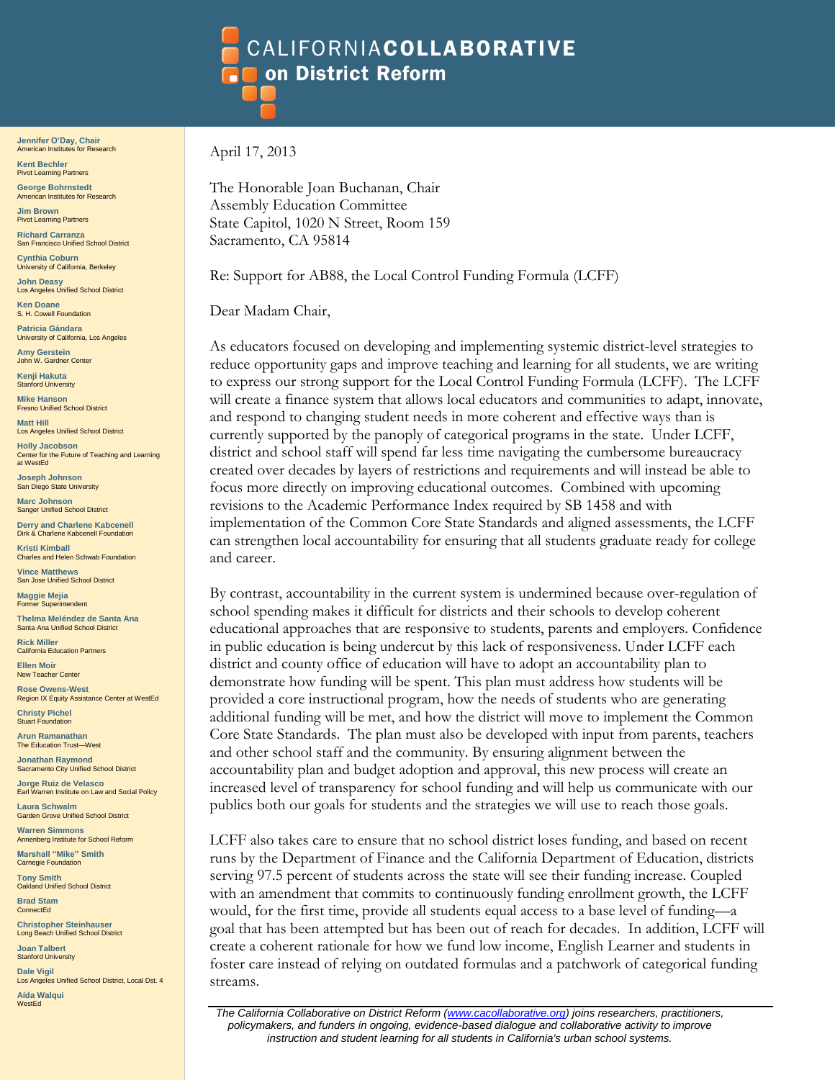## **CALIFORNIACOLLABORATIVE** on District Reform

**Jennifer O'Day, Chair** American Institutes for Research

**Kent Bechler** Pivot Learning Partners **George Bohrnstedt** American Institutes for Research

**Jim Brown Pivot Learning Partners Richard Carranza**

San Francisco Unified School District **Cynthia Coburn**

University of California, Berkeley **John Deasy**

Los Angeles Unified School District **Ken Doane**

S. H. Cowell Foundation **Patricia Gándara**

University of California, Los Angeles **Amy Gerstein**

John W. Gardner Center **Kenji Hakuta**

Stanford University **Mike Hanson**

Fresno Unified School District **Matt Hill**

Los Angeles Unified School District

**Holly Jacobson** Center for the Future of Teaching and Learning at WestEd

**Joseph Johnson** San Diego State University

**Marc Johnson** Sanger Unified School District

**Derry and Charlene Kabcenell** Dirk & Charlene Kabcenell Foundation

**Kristi Kimball** Charles and Helen Schwab Foundation **Vince Matthews** San Jose Unified School District

**Maggie Mejia** itendent

**Thelma Meléndez de Santa Ana** Santa Ana Unified School District

**Rick Miller** California Education Partners **Ellen Moir**

New Teacher Center **Rose Owens-West**

Region IX Equity Assistance Center at WestEd **Christy Pichel**

Stuart Foundation **Arun Ramanathan** The Education Trust-West

**Jonathan Raymond** Sacramento City Unified School District

**Jorge Ruiz de Velasco** Earl Warren Institute on Law and Social Policy

**Laura Schwalm** Garden Grove Unified School District

**Warren Simmons** Annenberg Institute for School Reform **Marshall "Mike" Smith** Carnegie Foundation

**Tony Smith** Oakland Unified School District

**Brad Stam ConnectEd** 

**Christopher Steinhauser** Long Beach Unified School District

**Joan Talbert** Stanford University

**Dale Vigil** Los Angeles Unified School District, Local Dst. 4 **Aída Walqui** WestEd

April 17, 2013

The Honorable Joan Buchanan, Chair Assembly Education Committee State Capitol, 1020 N Street, Room 159 Sacramento, CA 95814

Re: Support for AB88, the Local Control Funding Formula (LCFF)

Dear Madam Chair,

As educators focused on developing and implementing systemic district-level strategies to reduce opportunity gaps and improve teaching and learning for all students, we are writing to express our strong support for the Local Control Funding Formula (LCFF). The LCFF will create a finance system that allows local educators and communities to adapt, innovate, and respond to changing student needs in more coherent and effective ways than is currently supported by the panoply of categorical programs in the state. Under LCFF, district and school staff will spend far less time navigating the cumbersome bureaucracy created over decades by layers of restrictions and requirements and will instead be able to focus more directly on improving educational outcomes. Combined with upcoming revisions to the Academic Performance Index required by SB 1458 and with implementation of the Common Core State Standards and aligned assessments, the LCFF can strengthen local accountability for ensuring that all students graduate ready for college and career.

By contrast, accountability in the current system is undermined because over-regulation of school spending makes it difficult for districts and their schools to develop coherent educational approaches that are responsive to students, parents and employers. Confidence in public education is being undercut by this lack of responsiveness. Under LCFF each district and county office of education will have to adopt an accountability plan to demonstrate how funding will be spent. This plan must address how students will be provided a core instructional program, how the needs of students who are generating additional funding will be met, and how the district will move to implement the Common Core State Standards. The plan must also be developed with input from parents, teachers and other school staff and the community. By ensuring alignment between the accountability plan and budget adoption and approval, this new process will create an increased level of transparency for school funding and will help us communicate with our publics both our goals for students and the strategies we will use to reach those goals.

LCFF also takes care to ensure that no school district loses funding, and based on recent runs by the Department of Finance and the California Department of Education, districts serving 97.5 percent of students across the state will see their funding increase. Coupled with an amendment that commits to continuously funding enrollment growth, the LCFF would, for the first time, provide all students equal access to a base level of funding—a goal that has been attempted but has been out of reach for decades. In addition, LCFF will create a coherent rationale for how we fund low income, English Learner and students in foster care instead of relying on outdated formulas and a patchwork of categorical funding streams.

*The California Collaborative on District Reform [\(www.cacollaborative.org\)](http://www.cacollaborative.org/) joins researchers, practitioners, policymakers, and funders in ongoing, evidence-based dialogue and collaborative activity to improve instruction and student learning for all students in California's urban school systems.*